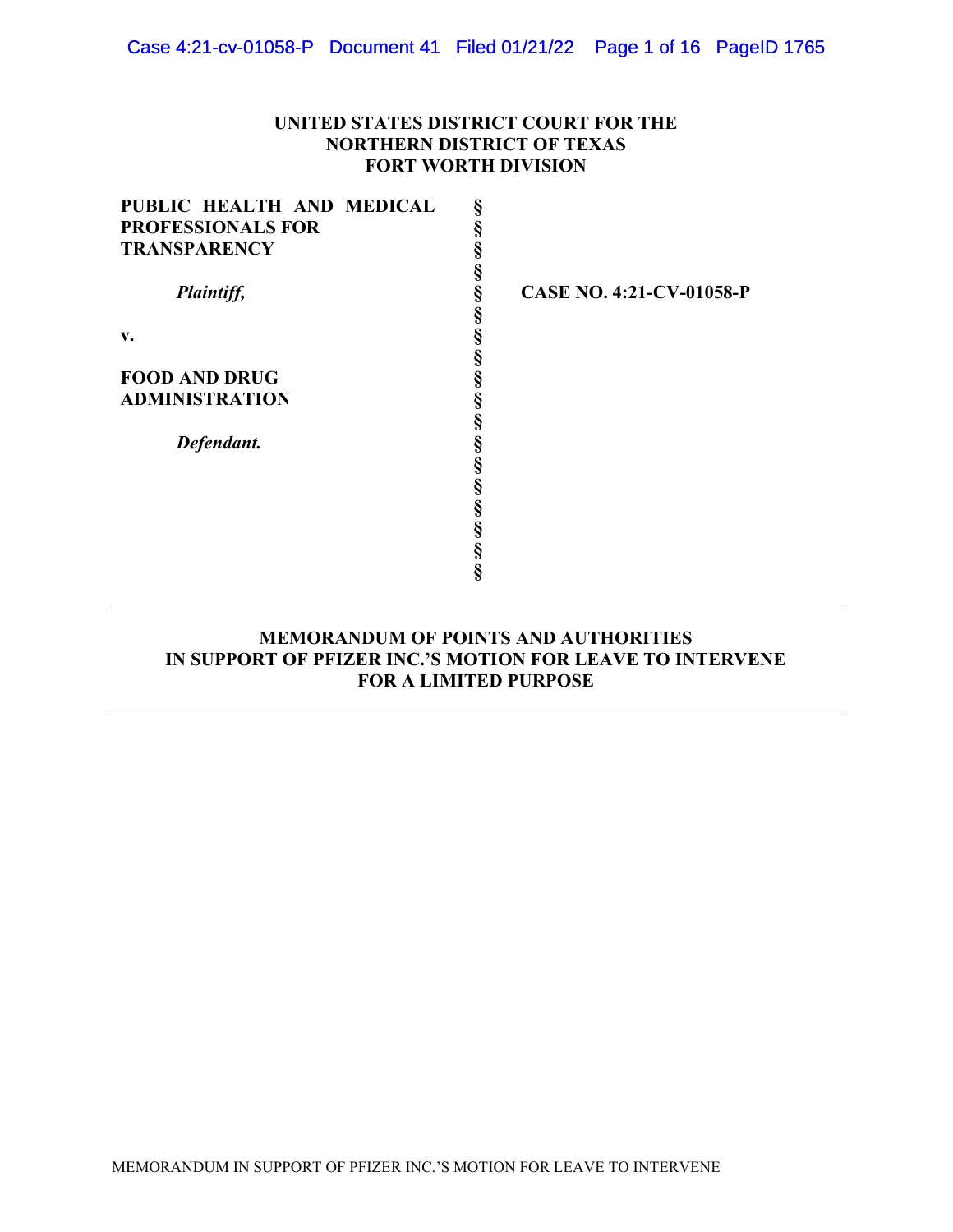### UNITED STATES DISTRICT COURT FOR THE NORTHERN DISTRICT OF TEXAS FORT WORTH DIVISION

| PUBLIC HEALTH AND MEDICAL | § |                                 |
|---------------------------|---|---------------------------------|
| <b>PROFESSIONALS FOR</b>  | § |                                 |
| <b>TRANSPARENCY</b>       | § |                                 |
|                           | § |                                 |
| Plaintiff,                | § | <b>CASE NO. 4:21-CV-01058-P</b> |
|                           | § |                                 |
| v.                        | § |                                 |
|                           | § |                                 |
| <b>FOOD AND DRUG</b>      | § |                                 |
| <b>ADMINISTRATION</b>     | § |                                 |
|                           | § |                                 |
| Defendant.                | § |                                 |
|                           | § |                                 |
|                           | Ş |                                 |
|                           | § |                                 |
|                           | § |                                 |
|                           | § |                                 |
|                           | ş |                                 |
|                           |   |                                 |

# MEMORANDUM OF POINTS AND AUTHORITIES IN SUPPORT OF PFIZER INC.'S MOTION FOR LEAVE TO INTERVENE FOR A LIMITED PURPOSE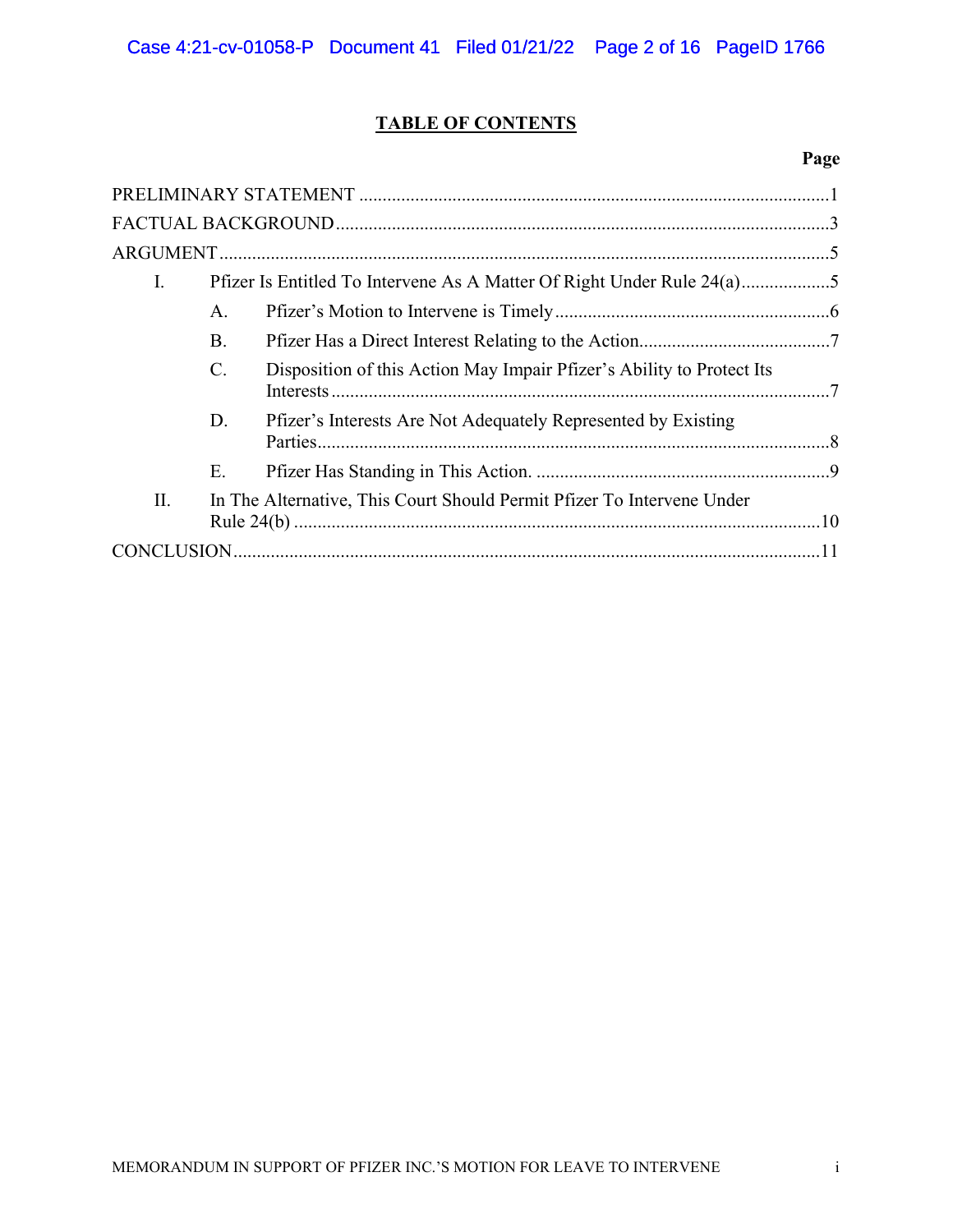# TABLE OF CONTENTS

| I. |                 |                                                                        |  |
|----|-----------------|------------------------------------------------------------------------|--|
|    | A.              |                                                                        |  |
|    | <b>B.</b>       |                                                                        |  |
|    | $\mathcal{C}$ . | Disposition of this Action May Impair Pfizer's Ability to Protect Its  |  |
|    | D.              | Pfizer's Interests Are Not Adequately Represented by Existing          |  |
|    | Ε.              |                                                                        |  |
| Π. |                 | In The Alternative, This Court Should Permit Pfizer To Intervene Under |  |
|    |                 |                                                                        |  |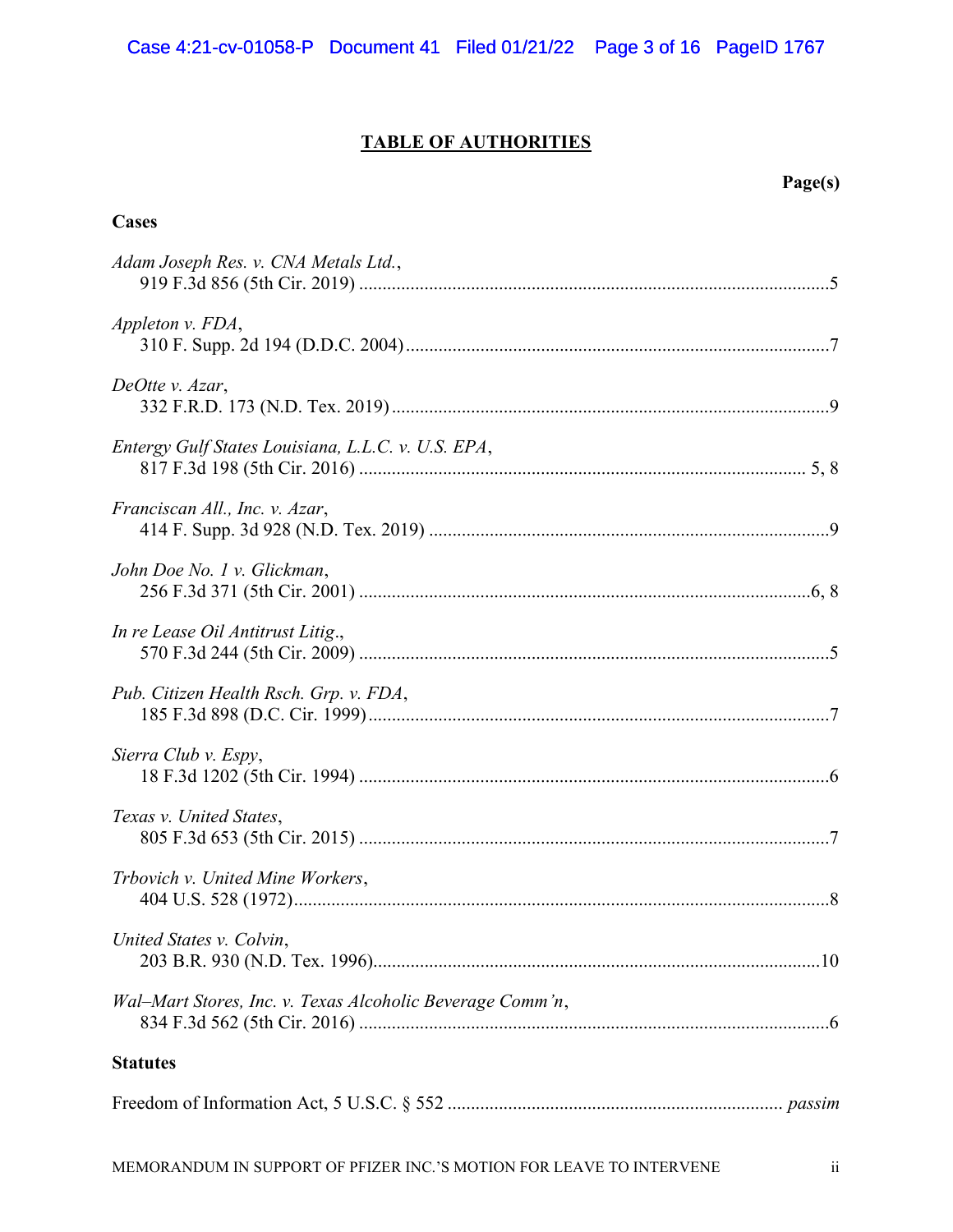# TABLE OF AUTHORITIES

# Page(s)

| Cases                                                     |
|-----------------------------------------------------------|
| Adam Joseph Res. v. CNA Metals Ltd.,                      |
| Appleton v. FDA,                                          |
| DeOtte v. Azar,                                           |
| Entergy Gulf States Louisiana, L.L.C. v. U.S. EPA,        |
| Franciscan All., Inc. v. Azar,                            |
| John Doe No. 1 v. Glickman,                               |
| In re Lease Oil Antitrust Litig.,                         |
| Pub. Citizen Health Rsch. Grp. v. FDA,                    |
| Sierra Club v. Espy,                                      |
| Texas v. United States,                                   |
| Trbovich v. United Mine Workers,                          |
| United States v. Colvin,                                  |
| Wal-Mart Stores, Inc. v. Texas Alcoholic Beverage Comm'n, |
| <b>Statutes</b>                                           |
|                                                           |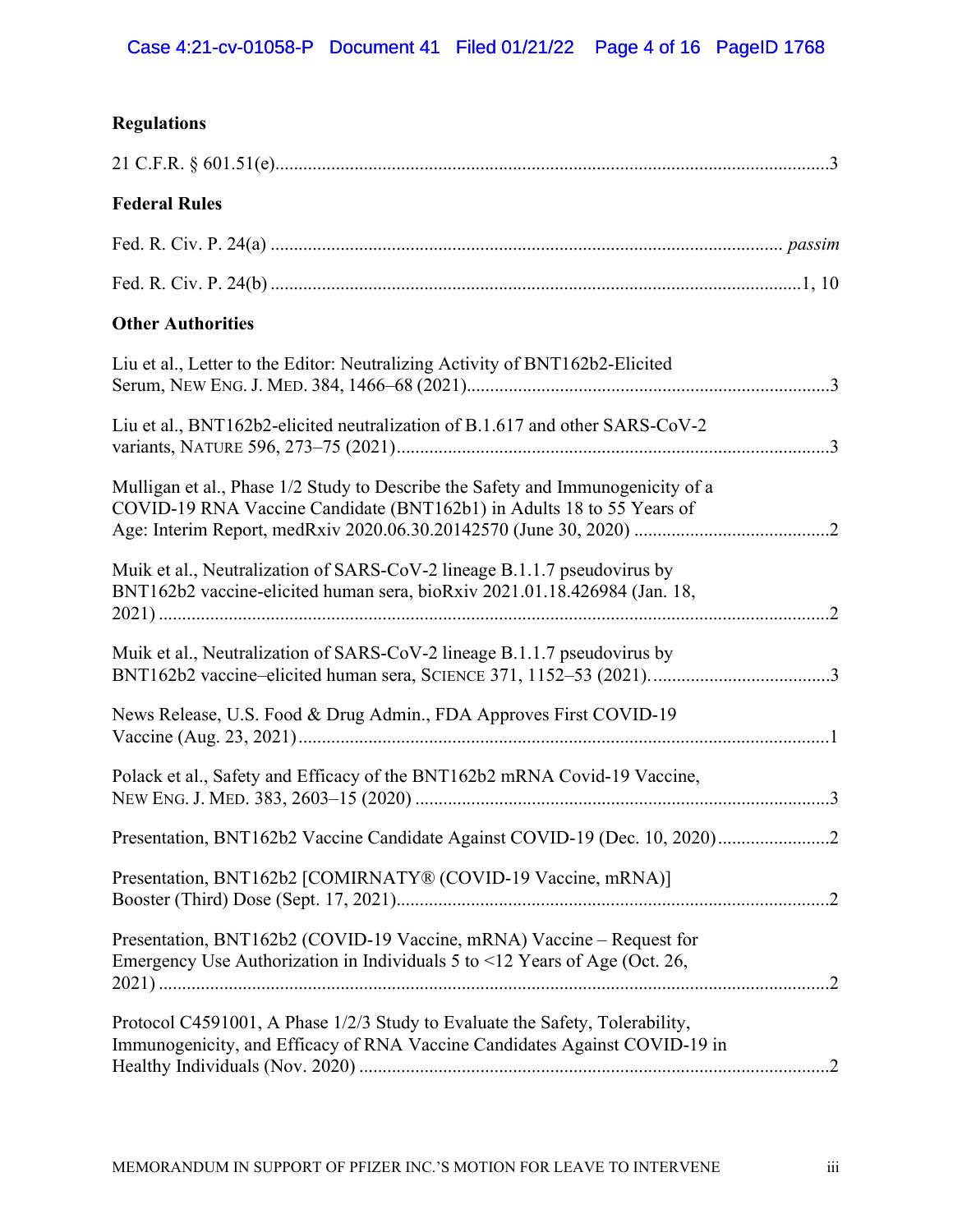| <b>Federal Rules</b>                                                                                                                                       |
|------------------------------------------------------------------------------------------------------------------------------------------------------------|
|                                                                                                                                                            |
|                                                                                                                                                            |
| <b>Other Authorities</b>                                                                                                                                   |
| Liu et al., Letter to the Editor: Neutralizing Activity of BNT162b2-Elicited                                                                               |
| Liu et al., BNT162b2-elicited neutralization of B.1.617 and other SARS-CoV-2                                                                               |
| Mulligan et al., Phase 1/2 Study to Describe the Safety and Immunogenicity of a<br>COVID-19 RNA Vaccine Candidate (BNT162b1) in Adults 18 to 55 Years of   |
| Muik et al., Neutralization of SARS-CoV-2 lineage B.1.1.7 pseudovirus by<br>BNT162b2 vaccine-elicited human sera, bioRxiv 2021.01.18.426984 (Jan. 18,      |
| Muik et al., Neutralization of SARS-CoV-2 lineage B.1.1.7 pseudovirus by                                                                                   |
| News Release, U.S. Food & Drug Admin., FDA Approves First COVID-19                                                                                         |
| Polack et al., Safety and Efficacy of the BNT162b2 mRNA Covid-19 Vaccine,                                                                                  |
| Presentation, BNT162b2 Vaccine Candidate Against COVID-19 (Dec. 10, 2020)2                                                                                 |
| Presentation, BNT162b2 [COMIRNATY® (COVID-19 Vaccine, mRNA)]                                                                                               |
| Presentation, BNT162b2 (COVID-19 Vaccine, mRNA) Vaccine – Request for<br>Emergency Use Authorization in Individuals 5 to $\leq$ 12 Years of Age (Oct. 26,  |
| Protocol C4591001, A Phase 1/2/3 Study to Evaluate the Safety, Tolerability,<br>Immunogenicity, and Efficacy of RNA Vaccine Candidates Against COVID-19 in |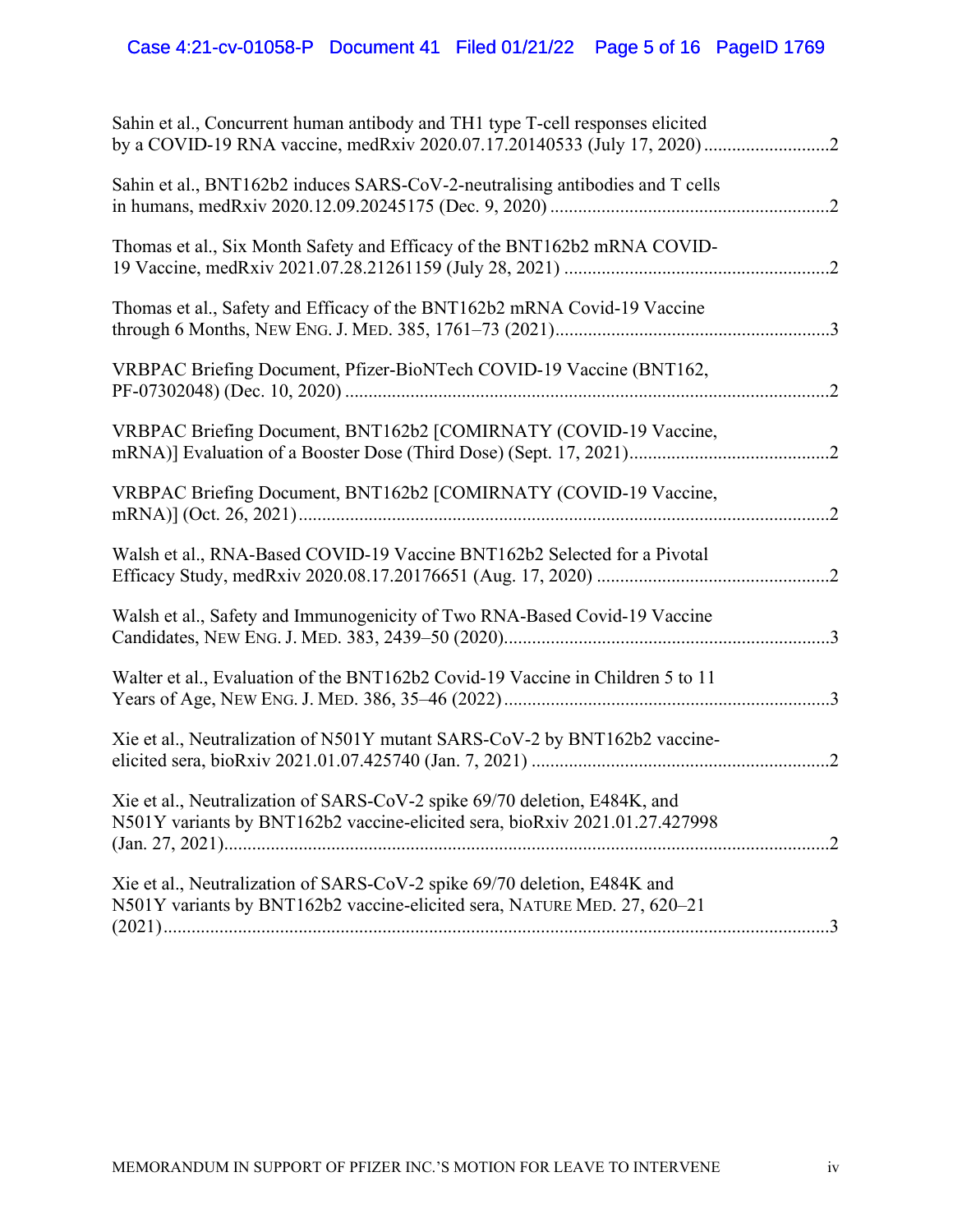# Case 4:21-cv-01058-P Document 41 Filed 01/21/22 Page 5 of 16 PageID 1769

| Sahin et al., Concurrent human antibody and TH1 type T-cell responses elicited<br>by a COVID-19 RNA vaccine, medRxiv 2020.07.17.20140533 (July 17, 2020) 2 |
|------------------------------------------------------------------------------------------------------------------------------------------------------------|
| Sahin et al., BNT162b2 induces SARS-CoV-2-neutralising antibodies and T cells                                                                              |
| Thomas et al., Six Month Safety and Efficacy of the BNT162b2 mRNA COVID-                                                                                   |
| Thomas et al., Safety and Efficacy of the BNT162b2 mRNA Covid-19 Vaccine                                                                                   |
| VRBPAC Briefing Document, Pfizer-BioNTech COVID-19 Vaccine (BNT162,                                                                                        |
| VRBPAC Briefing Document, BNT162b2 [COMIRNATY (COVID-19 Vaccine,                                                                                           |
| VRBPAC Briefing Document, BNT162b2 [COMIRNATY (COVID-19 Vaccine,                                                                                           |
| Walsh et al., RNA-Based COVID-19 Vaccine BNT162b2 Selected for a Pivotal                                                                                   |
| Walsh et al., Safety and Immunogenicity of Two RNA-Based Covid-19 Vaccine                                                                                  |
| Walter et al., Evaluation of the BNT162b2 Covid-19 Vaccine in Children 5 to 11                                                                             |
| Xie et al., Neutralization of N501Y mutant SARS-CoV-2 by BNT162b2 vaccine-                                                                                 |
| Xie et al., Neutralization of SARS-CoV-2 spike 69/70 deletion, E484K, and<br>N501Y variants by BNT162b2 vaccine-elicited sera, bioRxiv 2021.01.27.427998   |
| Xie et al., Neutralization of SARS-CoV-2 spike 69/70 deletion, E484K and<br>N501Y variants by BNT162b2 vaccine-elicited sera, NATURE MED. 27, 620-21       |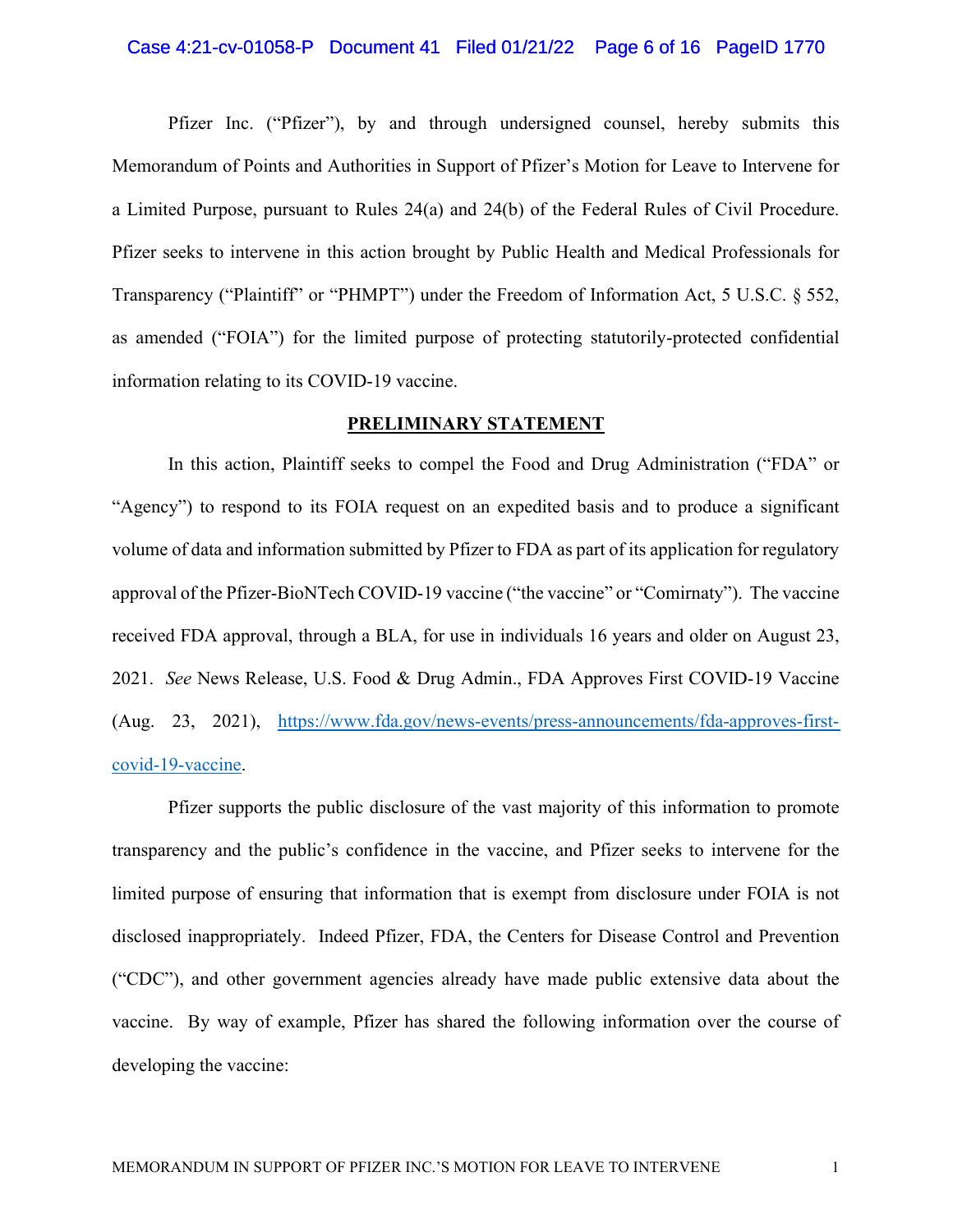### Case 4:21-cv-01058-P Document 41 Filed 01/21/22 Page 6 of 16 PageID 1770

Pfizer Inc. ("Pfizer"), by and through undersigned counsel, hereby submits this Memorandum of Points and Authorities in Support of Pfizer's Motion for Leave to Intervene for a Limited Purpose, pursuant to Rules 24(a) and 24(b) of the Federal Rules of Civil Procedure. Pfizer seeks to intervene in this action brought by Public Health and Medical Professionals for Transparency ("Plaintiff" or "PHMPT") under the Freedom of Information Act, 5 U.S.C. § 552, as amended ("FOIA") for the limited purpose of protecting statutorily-protected confidential information relating to its COVID-19 vaccine.

### PRELIMINARY STATEMENT

In this action, Plaintiff seeks to compel the Food and Drug Administration ("FDA" or "Agency") to respond to its FOIA request on an expedited basis and to produce a significant volume of data and information submitted by Pfizer to FDA as part of its application for regulatory approval of the Pfizer-BioNTech COVID-19 vaccine ("the vaccine" or "Comirnaty"). The vaccine received FDA approval, through a BLA, for use in individuals 16 years and older on August 23, 2021. See News Release, U.S. Food & Drug Admin., FDA Approves First COVID-19 Vaccine (Aug. 23, 2021), https://www.fda.gov/news-events/press-announcements/fda-approves-firstcovid-19-vaccine.

Pfizer supports the public disclosure of the vast majority of this information to promote transparency and the public's confidence in the vaccine, and Pfizer seeks to intervene for the limited purpose of ensuring that information that is exempt from disclosure under FOIA is not disclosed inappropriately. Indeed Pfizer, FDA, the Centers for Disease Control and Prevention ("CDC"), and other government agencies already have made public extensive data about the vaccine. By way of example, Pfizer has shared the following information over the course of developing the vaccine: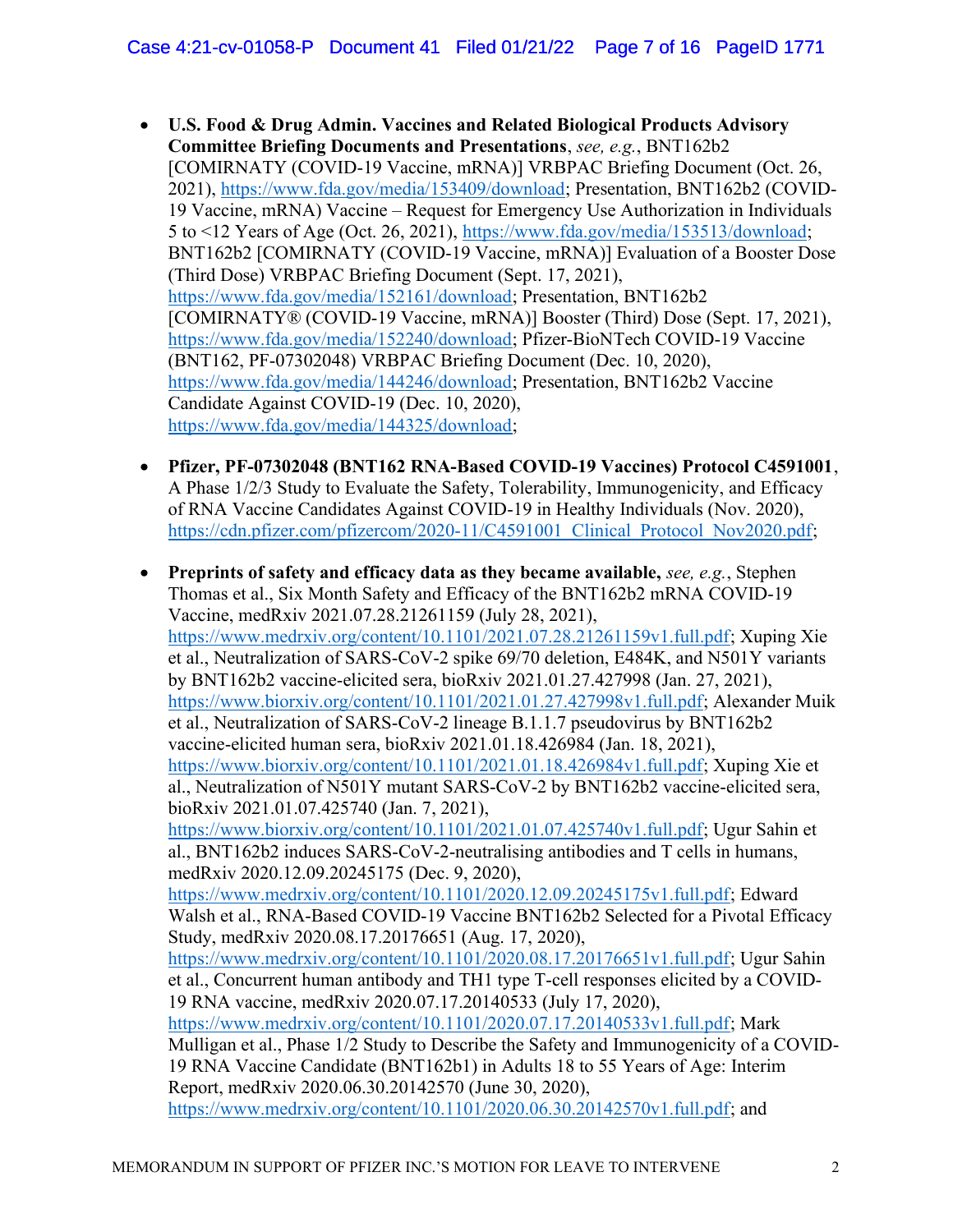- U.S. Food & Drug Admin. Vaccines and Related Biological Products Advisory Committee Briefing Documents and Presentations, see, e.g., BNT162b2 [COMIRNATY (COVID-19 Vaccine, mRNA)] VRBPAC Briefing Document (Oct. 26, 2021), https://www.fda.gov/media/153409/download; Presentation, BNT162b2 (COVID-19 Vaccine, mRNA) Vaccine – Request for Emergency Use Authorization in Individuals 5 to <12 Years of Age (Oct. 26, 2021), https://www.fda.gov/media/153513/download; BNT162b2 [COMIRNATY (COVID-19 Vaccine, mRNA)] Evaluation of a Booster Dose (Third Dose) VRBPAC Briefing Document (Sept. 17, 2021), https://www.fda.gov/media/152161/download; Presentation, BNT162b2 [COMIRNATY® (COVID-19 Vaccine, mRNA)] Booster (Third) Dose (Sept. 17, 2021), https://www.fda.gov/media/152240/download; Pfizer-BioNTech COVID-19 Vaccine (BNT162, PF-07302048) VRBPAC Briefing Document (Dec. 10, 2020), https://www.fda.gov/media/144246/download; Presentation, BNT162b2 Vaccine Candidate Against COVID-19 (Dec. 10, 2020), https://www.fda.gov/media/144325/download;
- Pfizer, PF-07302048 (BNT162 RNA-Based COVID-19 Vaccines) Protocol C4591001, A Phase 1/2/3 Study to Evaluate the Safety, Tolerability, Immunogenicity, and Efficacy of RNA Vaccine Candidates Against COVID-19 in Healthy Individuals (Nov. 2020), https://cdn.pfizer.com/pfizercom/2020-11/C4591001 Clinical Protocol Nov2020.pdf;
- Preprints of safety and efficacy data as they became available, see, e.g., Stephen Thomas et al., Six Month Safety and Efficacy of the BNT162b2 mRNA COVID-19 Vaccine, medRxiv 2021.07.28.21261159 (July 28, 2021), https://www.medrxiv.org/content/10.1101/2021.07.28.21261159v1.full.pdf; Xuping Xie et al., Neutralization of SARS-CoV-2 spike 69/70 deletion, E484K, and N501Y variants by BNT162b2 vaccine-elicited sera, bioRxiv 2021.01.27.427998 (Jan. 27, 2021), https://www.biorxiv.org/content/10.1101/2021.01.27.427998v1.full.pdf; Alexander Muik et al., Neutralization of SARS-CoV-2 lineage B.1.1.7 pseudovirus by BNT162b2 vaccine-elicited human sera, bioRxiv 2021.01.18.426984 (Jan. 18, 2021), https://www.biorxiv.org/content/10.1101/2021.01.18.426984v1.full.pdf; Xuping Xie et al., Neutralization of N501Y mutant SARS-CoV-2 by BNT162b2 vaccine-elicited sera, bioRxiv 2021.01.07.425740 (Jan. 7, 2021), https://www.biorxiv.org/content/10.1101/2021.01.07.425740v1.full.pdf; Ugur Sahin et al., BNT162b2 induces SARS-CoV-2-neutralising antibodies and T cells in humans, medRxiv 2020.12.09.20245175 (Dec. 9, 2020), https://www.medrxiv.org/content/10.1101/2020.12.09.20245175v1.full.pdf; Edward Walsh et al., RNA-Based COVID-19 Vaccine BNT162b2 Selected for a Pivotal Efficacy Study, medRxiv 2020.08.17.20176651 (Aug. 17, 2020), https://www.medrxiv.org/content/10.1101/2020.08.17.20176651v1.full.pdf; Ugur Sahin et al., Concurrent human antibody and TH1 type T-cell responses elicited by a COVID-19 RNA vaccine, medRxiv 2020.07.17.20140533 (July 17, 2020), https://www.medrxiv.org/content/10.1101/2020.07.17.20140533v1.full.pdf; Mark Mulligan et al., Phase 1/2 Study to Describe the Safety and Immunogenicity of a COVID-19 RNA Vaccine Candidate (BNT162b1) in Adults 18 to 55 Years of Age: Interim Report, medRxiv 2020.06.30.20142570 (June 30, 2020), https://www.medrxiv.org/content/10.1101/2020.06.30.20142570v1.full.pdf; and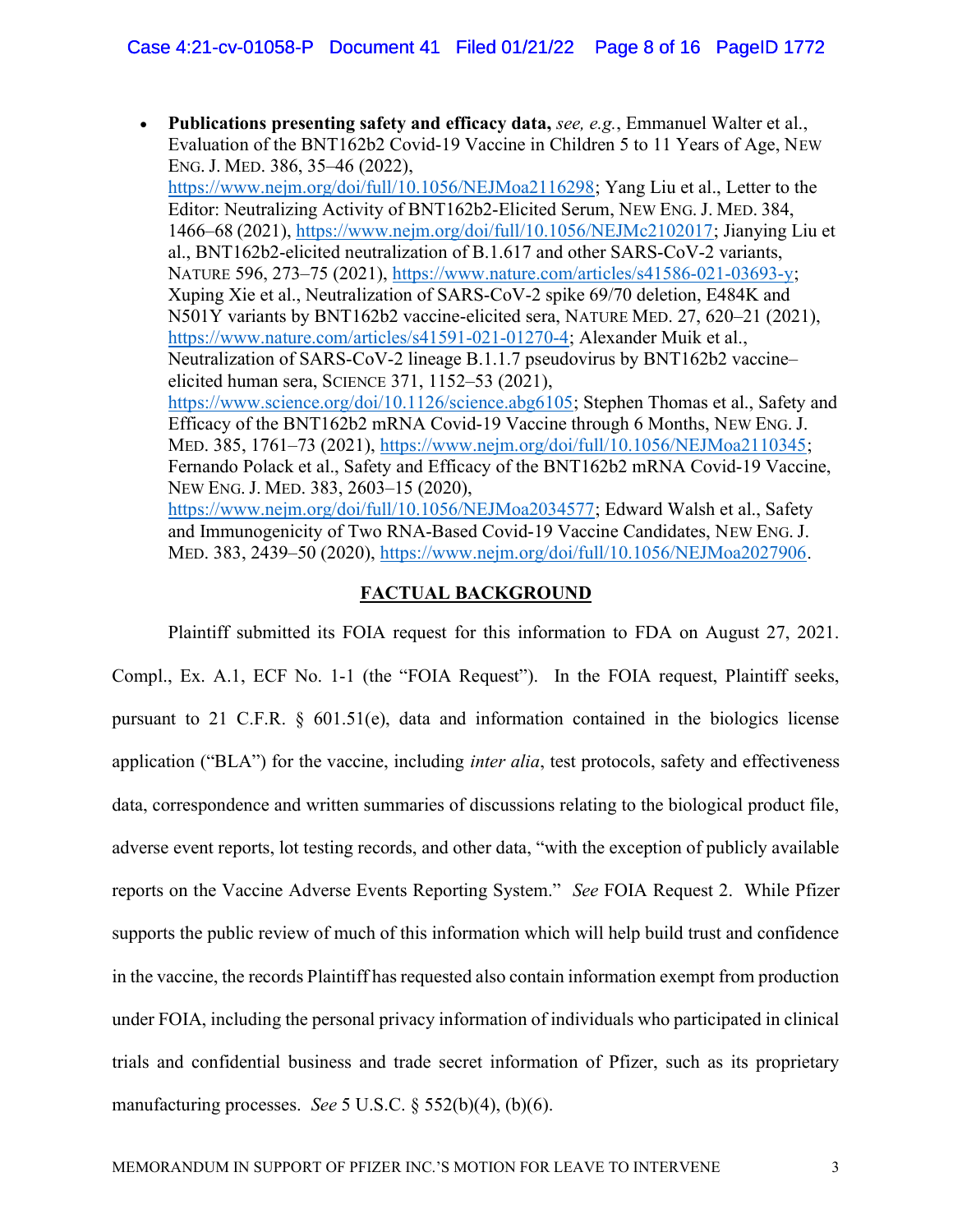• Publications presenting safety and efficacy data, see, e.g., Emmanuel Walter et al., Evaluation of the BNT162b2 Covid-19 Vaccine in Children 5 to 11 Years of Age, NEW ENG. J. MED. 386, 35–46 (2022), https://www.nejm.org/doi/full/10.1056/NEJMoa2116298; Yang Liu et al., Letter to the Editor: Neutralizing Activity of BNT162b2-Elicited Serum, NEW ENG. J. MED. 384, 1466–68 (2021), https://www.nejm.org/doi/full/10.1056/NEJMc2102017; Jianying Liu et al., BNT162b2-elicited neutralization of B.1.617 and other SARS-CoV-2 variants, NATURE 596, 273–75 (2021), https://www.nature.com/articles/s41586-021-03693-y; Xuping Xie et al., Neutralization of SARS-CoV-2 spike 69/70 deletion, E484K and N501Y variants by BNT162b2 vaccine-elicited sera, NATURE MED. 27, 620–21 (2021), https://www.nature.com/articles/s41591-021-01270-4; Alexander Muik et al., Neutralization of SARS-CoV-2 lineage B.1.1.7 pseudovirus by BNT162b2 vaccine– elicited human sera, SCIENCE 371, 1152–53 (2021), https://www.science.org/doi/10.1126/science.abg6105; Stephen Thomas et al., Safety and Efficacy of the BNT162b2 mRNA Covid-19 Vaccine through 6 Months, NEW ENG. J. MED. 385, 1761–73 (2021), https://www.nejm.org/doi/full/10.1056/NEJMoa2110345; Fernando Polack et al., Safety and Efficacy of the BNT162b2 mRNA Covid-19 Vaccine, NEW ENG. J. MED. 383, 2603–15 (2020), https://www.nejm.org/doi/full/10.1056/NEJMoa2034577; Edward Walsh et al., Safety and Immunogenicity of Two RNA-Based Covid-19 Vaccine Candidates, NEW ENG. J. MED. 383, 2439–50 (2020), https://www.nejm.org/doi/full/10.1056/NEJMoa2027906.

### FACTUAL BACKGROUND

Plaintiff submitted its FOIA request for this information to FDA on August 27, 2021. Compl., Ex. A.1, ECF No. 1-1 (the "FOIA Request"). In the FOIA request, Plaintiff seeks, pursuant to 21 C.F.R. § 601.51(e), data and information contained in the biologics license application ("BLA") for the vaccine, including *inter alia*, test protocols, safety and effectiveness data, correspondence and written summaries of discussions relating to the biological product file, adverse event reports, lot testing records, and other data, "with the exception of publicly available reports on the Vaccine Adverse Events Reporting System." See FOIA Request 2. While Pfizer supports the public review of much of this information which will help build trust and confidence in the vaccine, the records Plaintiff has requested also contain information exempt from production under FOIA, including the personal privacy information of individuals who participated in clinical trials and confidential business and trade secret information of Pfizer, such as its proprietary manufacturing processes. See 5 U.S.C.  $\frac{552(b)(4)}{6}$ , (b)(6).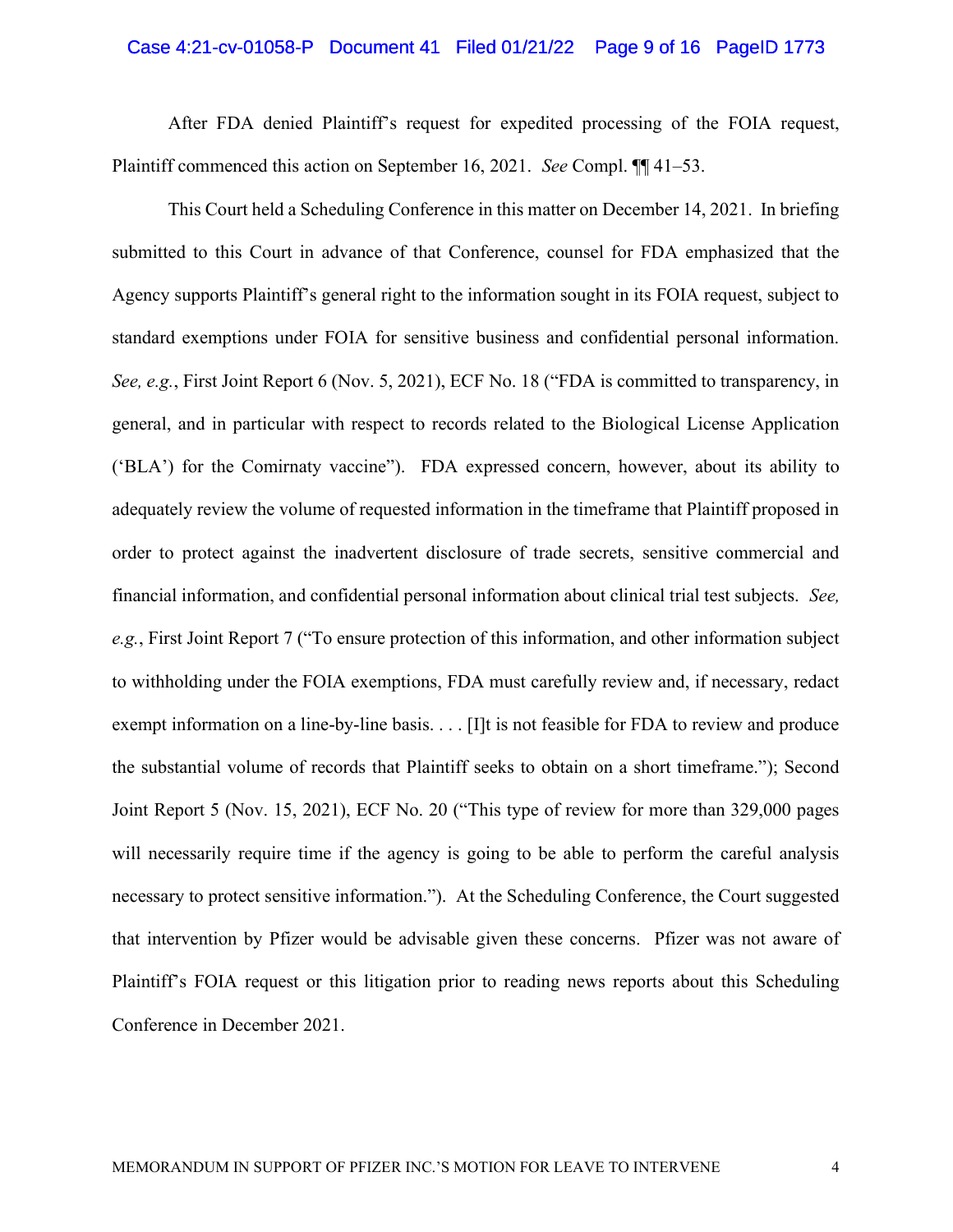### Case 4:21-cv-01058-P Document 41 Filed 01/21/22 Page 9 of 16 PageID 1773

After FDA denied Plaintiff's request for expedited processing of the FOIA request, Plaintiff commenced this action on September 16, 2021. See Compl. ¶¶ 41–53.

This Court held a Scheduling Conference in this matter on December 14, 2021. In briefing submitted to this Court in advance of that Conference, counsel for FDA emphasized that the Agency supports Plaintiff's general right to the information sought in its FOIA request, subject to standard exemptions under FOIA for sensitive business and confidential personal information. See, e.g., First Joint Report 6 (Nov. 5, 2021), ECF No. 18 ("FDA is committed to transparency, in general, and in particular with respect to records related to the Biological License Application ('BLA') for the Comirnaty vaccine"). FDA expressed concern, however, about its ability to adequately review the volume of requested information in the timeframe that Plaintiff proposed in order to protect against the inadvertent disclosure of trade secrets, sensitive commercial and financial information, and confidential personal information about clinical trial test subjects. See, e.g., First Joint Report 7 ("To ensure protection of this information, and other information subject to withholding under the FOIA exemptions, FDA must carefully review and, if necessary, redact exempt information on a line-by-line basis. . . . [I]t is not feasible for FDA to review and produce the substantial volume of records that Plaintiff seeks to obtain on a short timeframe."); Second Joint Report 5 (Nov. 15, 2021), ECF No. 20 ("This type of review for more than 329,000 pages will necessarily require time if the agency is going to be able to perform the careful analysis necessary to protect sensitive information."). At the Scheduling Conference, the Court suggested that intervention by Pfizer would be advisable given these concerns. Pfizer was not aware of Plaintiff's FOIA request or this litigation prior to reading news reports about this Scheduling Conference in December 2021.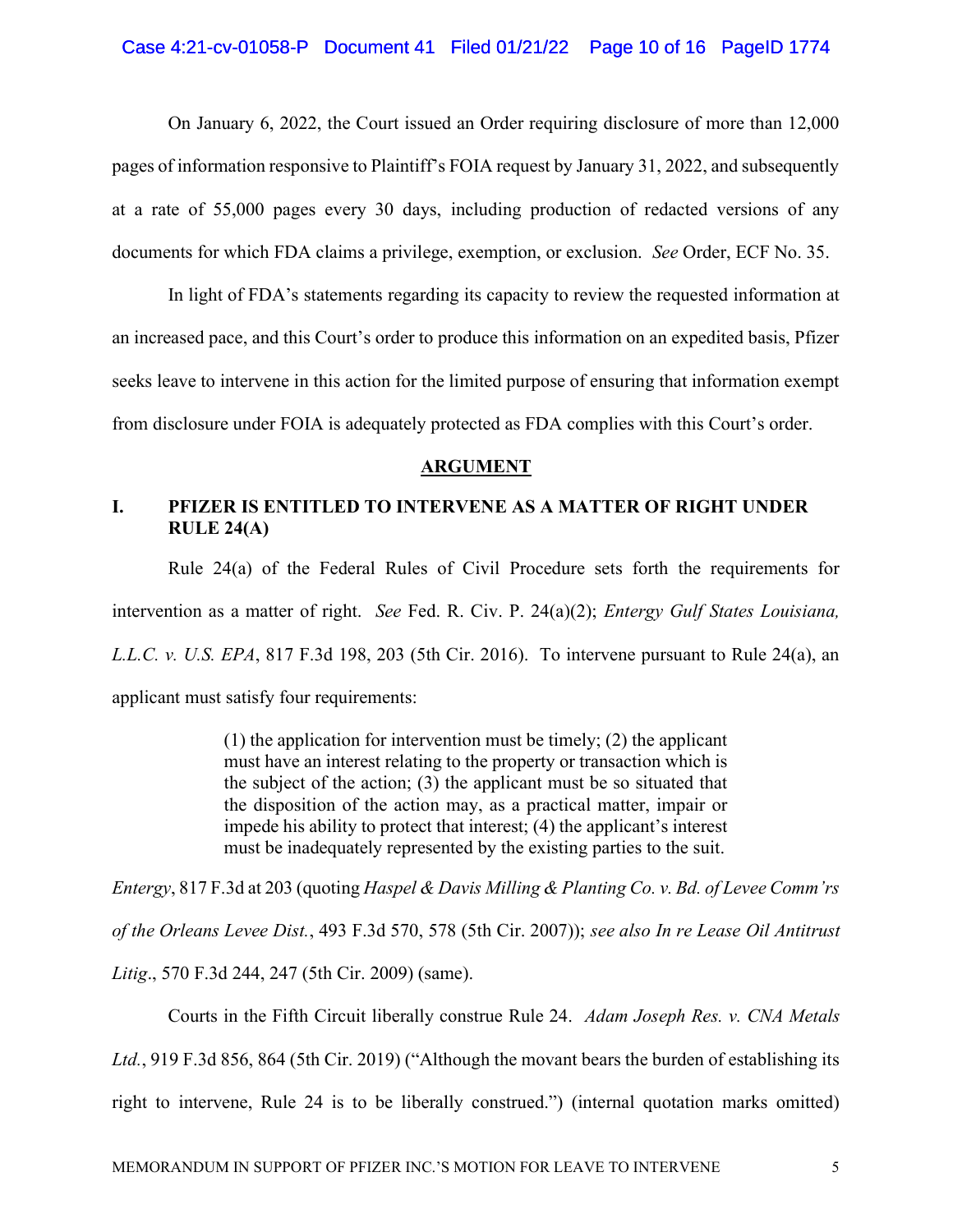### Case 4:21-cv-01058-P Document 41 Filed 01/21/22 Page 10 of 16 PageID 1774

On January 6, 2022, the Court issued an Order requiring disclosure of more than 12,000 pages of information responsive to Plaintiff's FOIA request by January 31, 2022, and subsequently at a rate of 55,000 pages every 30 days, including production of redacted versions of any documents for which FDA claims a privilege, exemption, or exclusion. See Order, ECF No. 35.

In light of FDA's statements regarding its capacity to review the requested information at an increased pace, and this Court's order to produce this information on an expedited basis, Pfizer seeks leave to intervene in this action for the limited purpose of ensuring that information exempt from disclosure under FOIA is adequately protected as FDA complies with this Court's order.

#### ARGUMENT

# I. PFIZER IS ENTITLED TO INTERVENE AS A MATTER OF RIGHT UNDER RULE 24(A)

Rule 24(a) of the Federal Rules of Civil Procedure sets forth the requirements for intervention as a matter of right. See Fed. R. Civ. P. 24(a)(2); Entergy Gulf States Louisiana, L.L.C. v. U.S. EPA, 817 F.3d 198, 203 (5th Cir. 2016). To intervene pursuant to Rule 24(a), an applicant must satisfy four requirements:

> (1) the application for intervention must be timely; (2) the applicant must have an interest relating to the property or transaction which is the subject of the action; (3) the applicant must be so situated that the disposition of the action may, as a practical matter, impair or impede his ability to protect that interest; (4) the applicant's interest must be inadequately represented by the existing parties to the suit.

Entergy, 817 F.3d at 203 (quoting Haspel & Davis Milling & Planting Co. v. Bd. of Levee Comm'rs of the Orleans Levee Dist., 493 F.3d 570, 578 (5th Cir. 2007)); see also In re Lease Oil Antitrust

Litig., 570 F.3d 244, 247 (5th Cir. 2009) (same).

Courts in the Fifth Circuit liberally construe Rule 24. Adam Joseph Res. v. CNA Metals Ltd., 919 F.3d 856, 864 (5th Cir. 2019) ("Although the movant bears the burden of establishing its right to intervene, Rule 24 is to be liberally construed.") (internal quotation marks omitted)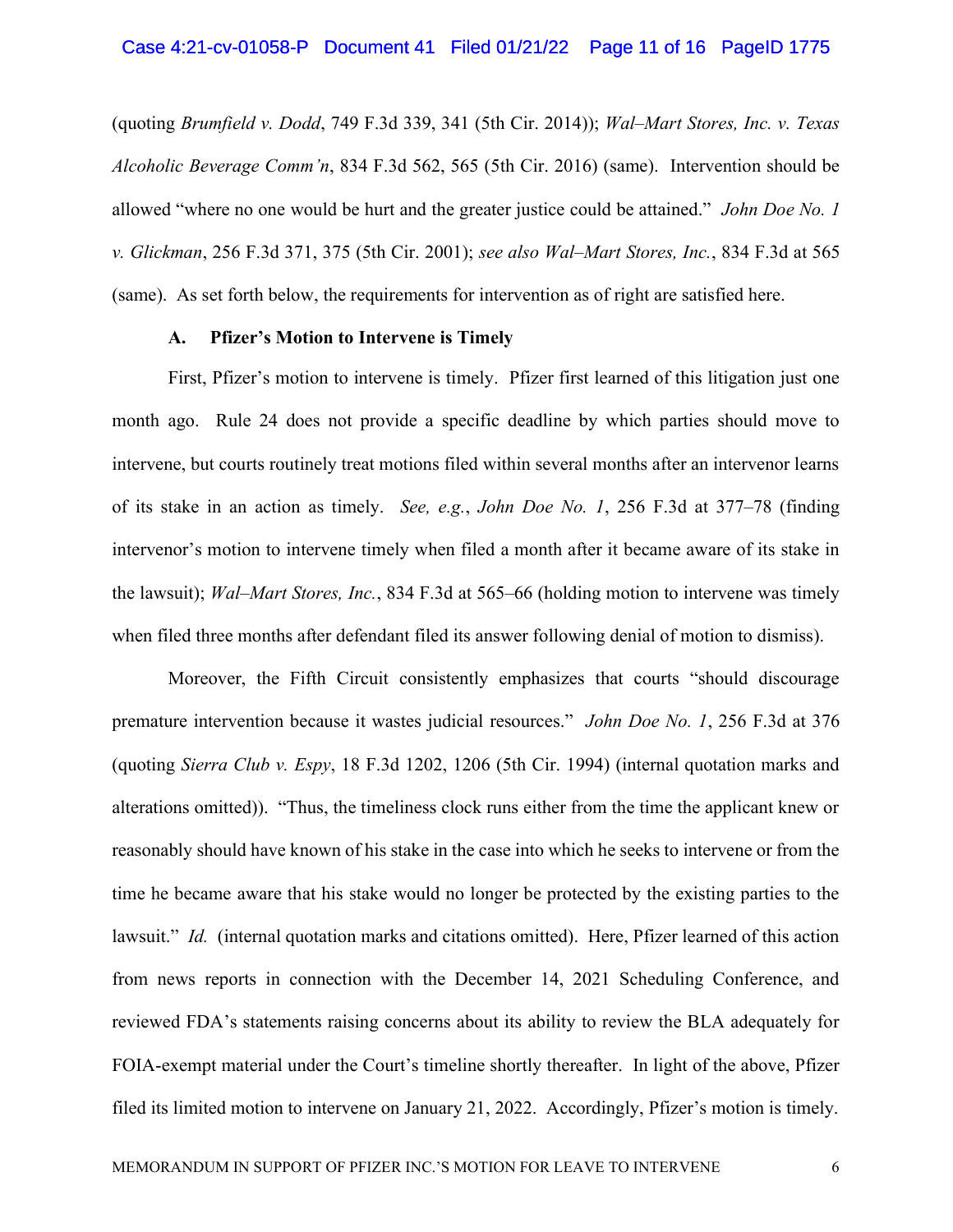#### Case 4:21-cv-01058-P Document 41 Filed 01/21/22 Page 11 of 16 PageID 1775

(quoting Brumfield v. Dodd, 749 F.3d 339, 341 (5th Cir. 2014)); Wal–Mart Stores, Inc. v. Texas Alcoholic Beverage Comm'n, 834 F.3d 562, 565 (5th Cir. 2016) (same). Intervention should be allowed "where no one would be hurt and the greater justice could be attained." John Doe No. 1 v. Glickman, 256 F.3d 371, 375 (5th Cir. 2001); see also Wal–Mart Stores, Inc., 834 F.3d at 565 (same). As set forth below, the requirements for intervention as of right are satisfied here.

### A. Pfizer's Motion to Intervene is Timely

First, Pfizer's motion to intervene is timely. Pfizer first learned of this litigation just one month ago. Rule 24 does not provide a specific deadline by which parties should move to intervene, but courts routinely treat motions filed within several months after an intervenor learns of its stake in an action as timely. See, e.g., John Doe No. 1, 256 F.3d at 377–78 (finding intervenor's motion to intervene timely when filed a month after it became aware of its stake in the lawsuit); Wal–Mart Stores, Inc., 834 F.3d at 565–66 (holding motion to intervene was timely when filed three months after defendant filed its answer following denial of motion to dismiss).

Moreover, the Fifth Circuit consistently emphasizes that courts "should discourage premature intervention because it wastes judicial resources." John Doe No. 1, 256 F.3d at 376 (quoting Sierra Club v. Espy, 18 F.3d 1202, 1206 (5th Cir. 1994) (internal quotation marks and alterations omitted)). "Thus, the timeliness clock runs either from the time the applicant knew or reasonably should have known of his stake in the case into which he seeks to intervene or from the time he became aware that his stake would no longer be protected by the existing parties to the lawsuit." Id. (internal quotation marks and citations omitted). Here, Pfizer learned of this action from news reports in connection with the December 14, 2021 Scheduling Conference, and reviewed FDA's statements raising concerns about its ability to review the BLA adequately for FOIA-exempt material under the Court's timeline shortly thereafter. In light of the above, Pfizer filed its limited motion to intervene on January 21, 2022. Accordingly, Pfizer's motion is timely.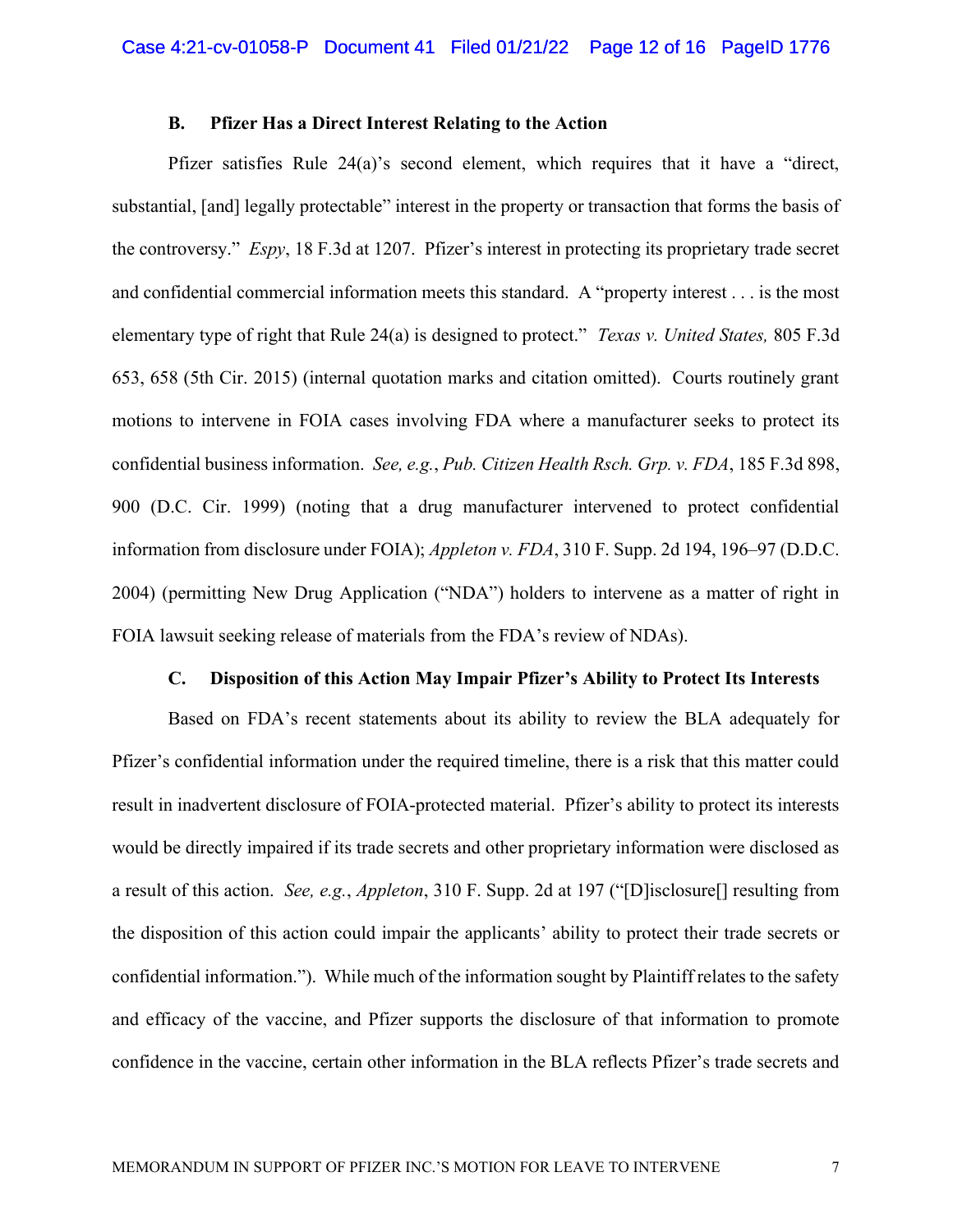### B. Pfizer Has a Direct Interest Relating to the Action

Pfizer satisfies Rule 24(a)'s second element, which requires that it have a "direct, substantial, [and] legally protectable" interest in the property or transaction that forms the basis of the controversy." Espy, 18 F.3d at 1207. Pfizer's interest in protecting its proprietary trade secret and confidential commercial information meets this standard. A "property interest . . . is the most elementary type of right that Rule 24(a) is designed to protect." Texas v. United States, 805 F.3d 653, 658 (5th Cir. 2015) (internal quotation marks and citation omitted). Courts routinely grant motions to intervene in FOIA cases involving FDA where a manufacturer seeks to protect its confidential business information. See, e.g., Pub. Citizen Health Rsch. Grp. v. FDA, 185 F.3d 898, 900 (D.C. Cir. 1999) (noting that a drug manufacturer intervened to protect confidential information from disclosure under FOIA); Appleton v. FDA, 310 F. Supp. 2d 194, 196–97 (D.D.C. 2004) (permitting New Drug Application ("NDA") holders to intervene as a matter of right in FOIA lawsuit seeking release of materials from the FDA's review of NDAs).

### C. Disposition of this Action May Impair Pfizer's Ability to Protect Its Interests

Based on FDA's recent statements about its ability to review the BLA adequately for Pfizer's confidential information under the required timeline, there is a risk that this matter could result in inadvertent disclosure of FOIA-protected material. Pfizer's ability to protect its interests would be directly impaired if its trade secrets and other proprietary information were disclosed as a result of this action. See, e.g., Appleton, 310 F. Supp. 2d at 197 ("[D]isclosure[] resulting from the disposition of this action could impair the applicants' ability to protect their trade secrets or confidential information."). While much of the information sought by Plaintiff relates to the safety and efficacy of the vaccine, and Pfizer supports the disclosure of that information to promote confidence in the vaccine, certain other information in the BLA reflects Pfizer's trade secrets and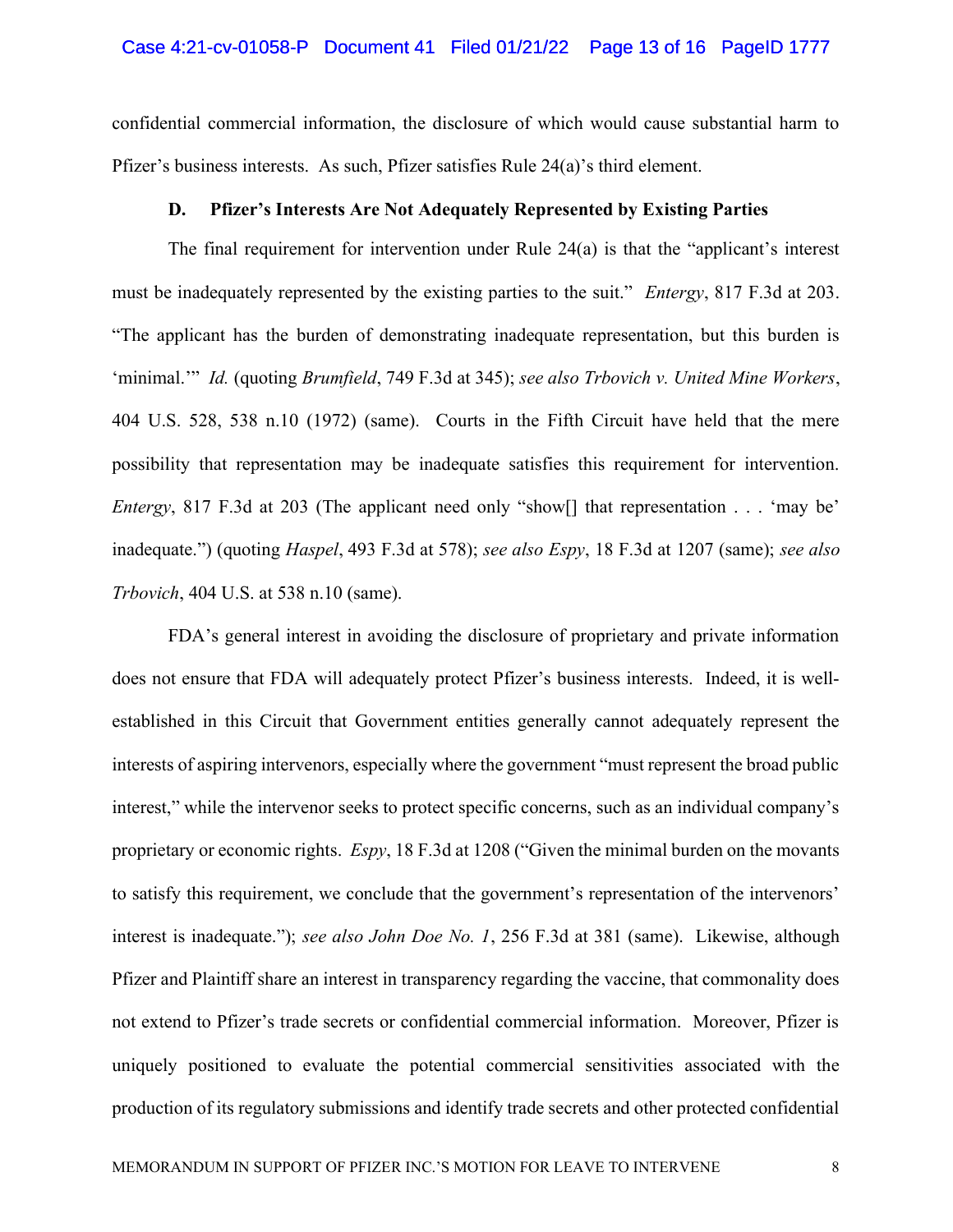confidential commercial information, the disclosure of which would cause substantial harm to Pfizer's business interests. As such, Pfizer satisfies Rule 24(a)'s third element.

### D. Pfizer's Interests Are Not Adequately Represented by Existing Parties

The final requirement for intervention under Rule 24(a) is that the "applicant's interest must be inadequately represented by the existing parties to the suit." *Entergy*, 817 F.3d at 203. "The applicant has the burden of demonstrating inadequate representation, but this burden is 'minimal.'" Id. (quoting Brumfield, 749 F.3d at 345); see also Trbovich v. United Mine Workers, 404 U.S. 528, 538 n.10 (1972) (same). Courts in the Fifth Circuit have held that the mere possibility that representation may be inadequate satisfies this requirement for intervention. Entergy, 817 F.3d at 203 (The applicant need only "show[] that representation . . . 'may be' inadequate.") (quoting Haspel, 493 F.3d at 578); see also Espy, 18 F.3d at 1207 (same); see also Trbovich, 404 U.S. at 538 n.10 (same).

FDA's general interest in avoiding the disclosure of proprietary and private information does not ensure that FDA will adequately protect Pfizer's business interests. Indeed, it is wellestablished in this Circuit that Government entities generally cannot adequately represent the interests of aspiring intervenors, especially where the government "must represent the broad public interest," while the intervenor seeks to protect specific concerns, such as an individual company's proprietary or economic rights. Espy, 18 F.3d at 1208 ("Given the minimal burden on the movants to satisfy this requirement, we conclude that the government's representation of the intervenors' interest is inadequate."); see also John Doe No. 1, 256 F.3d at 381 (same). Likewise, although Pfizer and Plaintiff share an interest in transparency regarding the vaccine, that commonality does not extend to Pfizer's trade secrets or confidential commercial information. Moreover, Pfizer is uniquely positioned to evaluate the potential commercial sensitivities associated with the production of its regulatory submissions and identify trade secrets and other protected confidential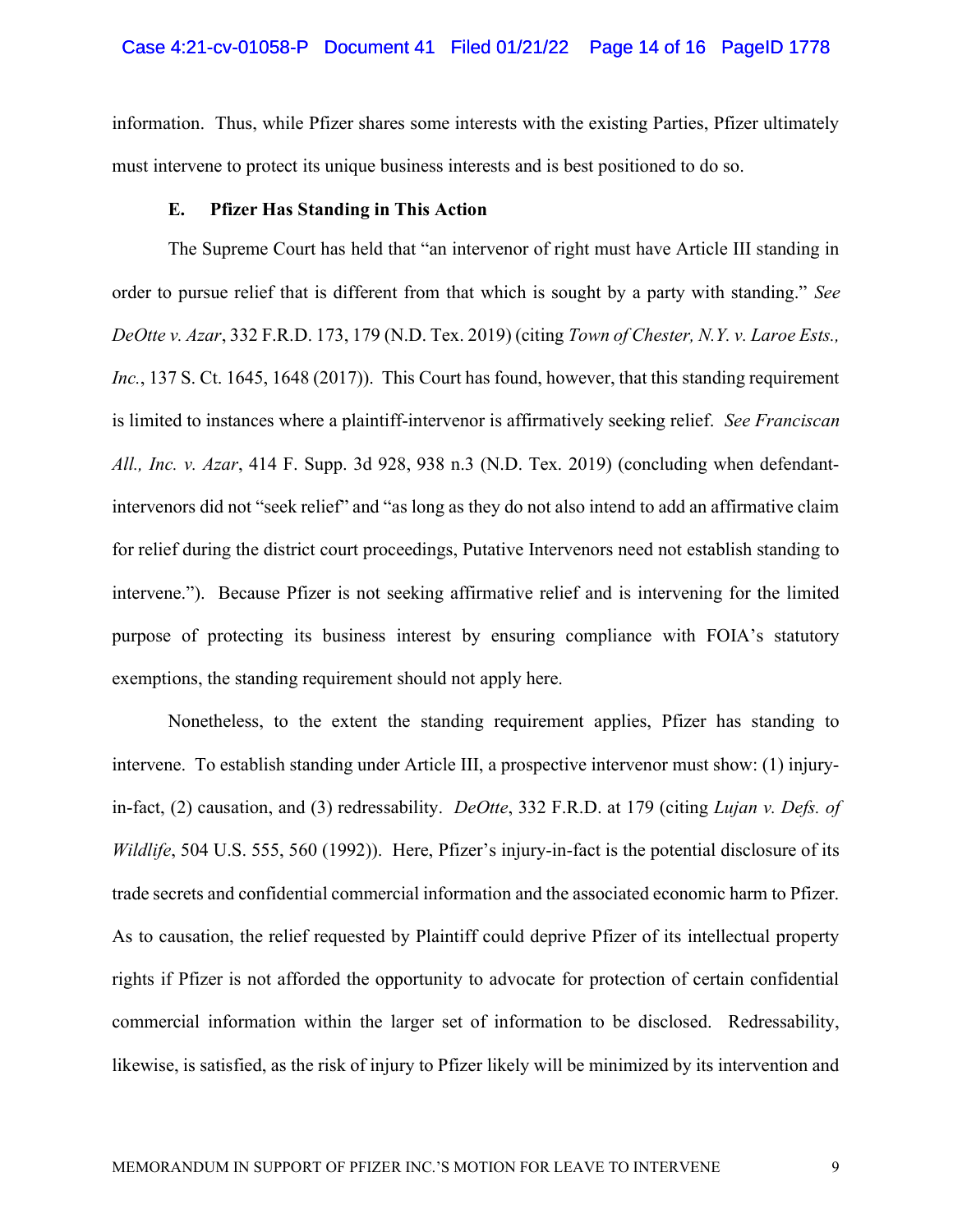### Case 4:21-cv-01058-P Document 41 Filed 01/21/22 Page 14 of 16 PageID 1778

information. Thus, while Pfizer shares some interests with the existing Parties, Pfizer ultimately must intervene to protect its unique business interests and is best positioned to do so.

### E. Pfizer Has Standing in This Action

The Supreme Court has held that "an intervenor of right must have Article III standing in order to pursue relief that is different from that which is sought by a party with standing." See DeOtte v. Azar, 332 F.R.D. 173, 179 (N.D. Tex. 2019) (citing Town of Chester, N.Y. v. Laroe Ests., Inc., 137 S. Ct. 1645, 1648 (2017)). This Court has found, however, that this standing requirement is limited to instances where a plaintiff-intervenor is affirmatively seeking relief. See Franciscan All., Inc. v. Azar, 414 F. Supp. 3d 928, 938 n.3 (N.D. Tex. 2019) (concluding when defendantintervenors did not "seek relief" and "as long as they do not also intend to add an affirmative claim for relief during the district court proceedings, Putative Intervenors need not establish standing to intervene."). Because Pfizer is not seeking affirmative relief and is intervening for the limited purpose of protecting its business interest by ensuring compliance with FOIA's statutory exemptions, the standing requirement should not apply here.

Nonetheless, to the extent the standing requirement applies, Pfizer has standing to intervene. To establish standing under Article III, a prospective intervenor must show: (1) injuryin-fact, (2) causation, and (3) redressability. *DeOtte*, 332 F.R.D. at 179 (citing *Lujan v. Defs. of* Wildlife, 504 U.S. 555, 560 (1992)). Here, Pfizer's injury-in-fact is the potential disclosure of its trade secrets and confidential commercial information and the associated economic harm to Pfizer. As to causation, the relief requested by Plaintiff could deprive Pfizer of its intellectual property rights if Pfizer is not afforded the opportunity to advocate for protection of certain confidential commercial information within the larger set of information to be disclosed. Redressability, likewise, is satisfied, as the risk of injury to Pfizer likely will be minimized by its intervention and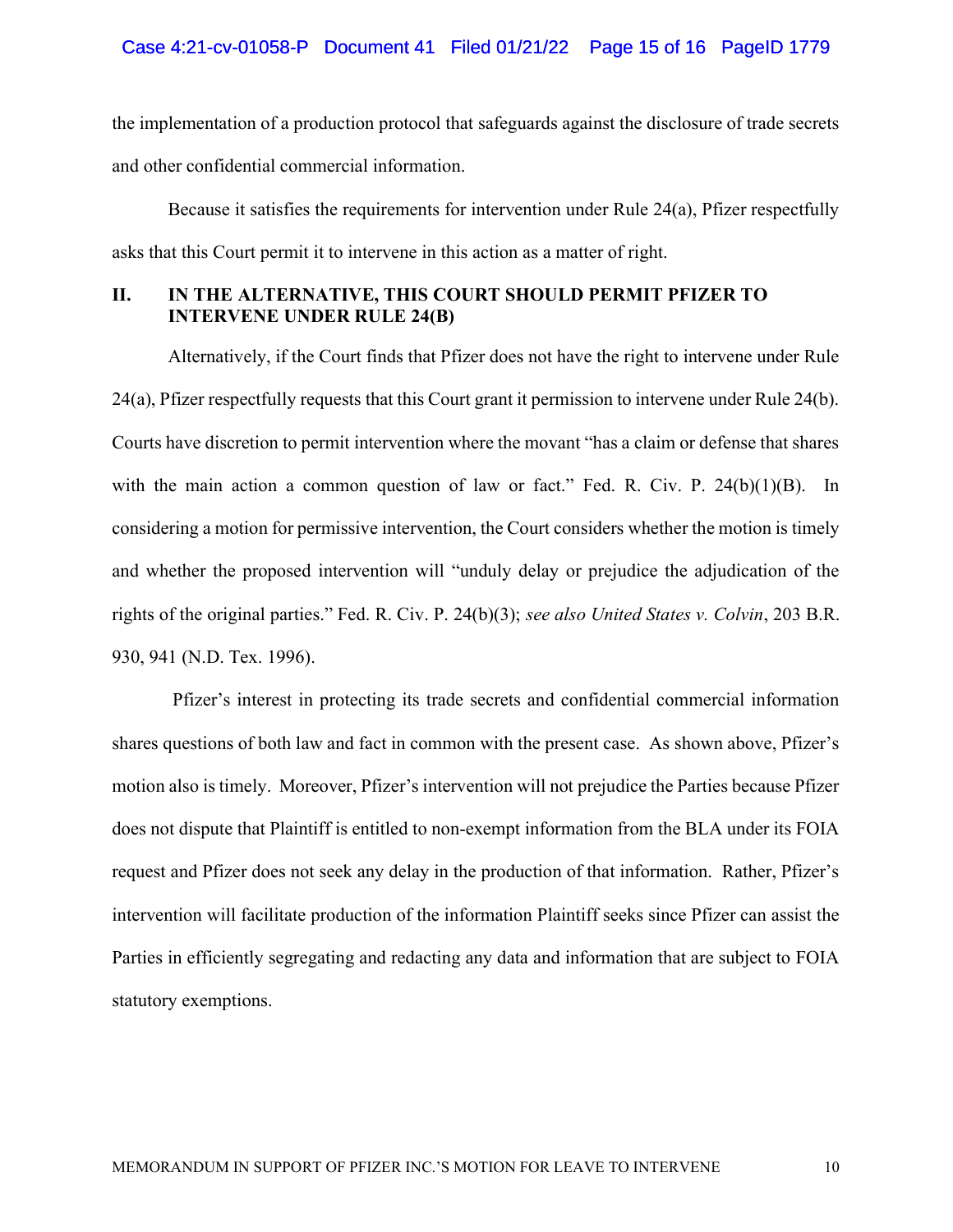the implementation of a production protocol that safeguards against the disclosure of trade secrets and other confidential commercial information.

Because it satisfies the requirements for intervention under Rule 24(a), Pfizer respectfully asks that this Court permit it to intervene in this action as a matter of right.

## II. IN THE ALTERNATIVE, THIS COURT SHOULD PERMIT PFIZER TO INTERVENE UNDER RULE 24(B)

Alternatively, if the Court finds that Pfizer does not have the right to intervene under Rule 24(a), Pfizer respectfully requests that this Court grant it permission to intervene under Rule 24(b). Courts have discretion to permit intervention where the movant "has a claim or defense that shares with the main action a common question of law or fact." Fed. R. Civ. P. 24(b)(1)(B). In considering a motion for permissive intervention, the Court considers whether the motion is timely and whether the proposed intervention will "unduly delay or prejudice the adjudication of the rights of the original parties." Fed. R. Civ. P. 24(b)(3); see also United States v. Colvin, 203 B.R. 930, 941 (N.D. Tex. 1996).

 Pfizer's interest in protecting its trade secrets and confidential commercial information shares questions of both law and fact in common with the present case. As shown above, Pfizer's motion also is timely. Moreover, Pfizer's intervention will not prejudice the Parties because Pfizer does not dispute that Plaintiff is entitled to non-exempt information from the BLA under its FOIA request and Pfizer does not seek any delay in the production of that information. Rather, Pfizer's intervention will facilitate production of the information Plaintiff seeks since Pfizer can assist the Parties in efficiently segregating and redacting any data and information that are subject to FOIA statutory exemptions.